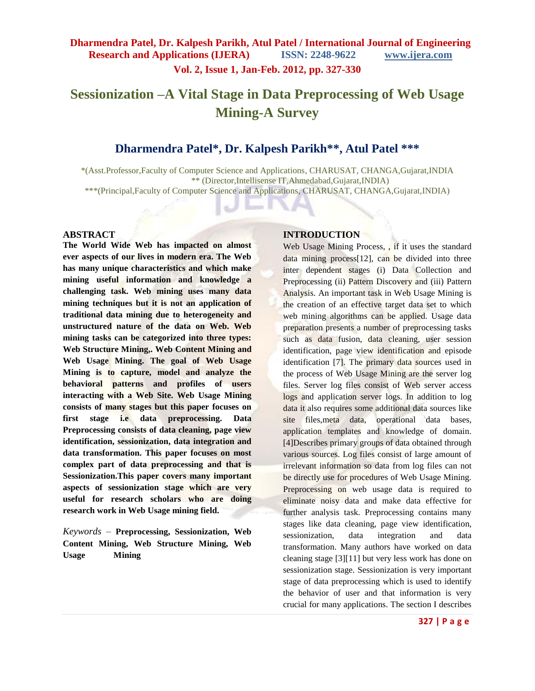## **Vol. 2, Issue 1, Jan-Feb. 2012, pp. 327-330**

# **Sessionization –A Vital Stage in Data Preprocessing of Web Usage Mining-A Survey**

## **Dharmendra Patel\*, Dr. Kalpesh Parikh\*\*, Atul Patel \*\*\***

\*(Asst.Professor,Faculty of Computer Science and Applications, CHARUSAT, CHANGA,Gujarat,INDIA \*\* (Director,Intellisense IT,Ahmedabad,Gujarat,INDIA) \*\*\*(Principal,Faculty of Computer Science and Applications, CHARUSAT, CHANGA,Gujarat,INDIA)

#### **ABSTRACT**

**The World Wide Web has impacted on almost ever aspects of our lives in modern era. The Web has many unique characteristics and which make mining useful information and knowledge a challenging task. Web mining uses many data mining techniques but it is not an application of traditional data mining due to heterogeneity and unstructured nature of the data on Web. Web mining tasks can be categorized into three types: Web Structure Mining,. Web Content Mining and Web Usage Mining. The goal of Web Usage Mining is to capture, model and analyze the behavioral patterns and profiles of users interacting with a Web Site. Web Usage Mining consists of many stages but this paper focuses on first stage i.e data preprocessing. Data Preprocessing consists of data cleaning, page view identification, sessionization, data integration and data transformation. This paper focuses on most complex part of data preprocessing and that is Sessionization.This paper covers many important aspects of sessionization stage which are very useful for research scholars who are doing research work in Web Usage mining field.** 

*Keywords* – **Preprocessing, Sessionization, Web Content Mining, Web Structure Mining, Web Usage Mining**

#### **INTRODUCTION**

Web Usage Mining Process, , if it uses the standard data mining process[12], can be divided into three inter dependent stages (i) Data Collection and Preprocessing (ii) Pattern Discovery and (iii) Pattern Analysis. An important task in Web Usage Mining is the creation of an effective target data set to which web mining algorithms can be applied. Usage data preparation presents a number of preprocessing tasks such as data fusion, data cleaning, user session identification, page view identification and episode identification [7]. The primary data sources used in the process of Web Usage Mining are the server log files. Server log files consist of Web server access logs and application server logs. In addition to log data it also requires some additional data sources like site files,meta data, operational data bases, application templates and knowledge of domain. [4]Describes primary groups of data obtained through various sources. Log files consist of large amount of irrelevant information so data from log files can not be directly use for procedures of Web Usage Mining. Preprocessing on web usage data is required to eliminate noisy data and make data effective for further analysis task. Preprocessing contains many stages like data cleaning, page view identification, sessionization, data integration and data transformation. Many authors have worked on data cleaning stage [3][11] but very less work has done on sessionization stage. Sessionization is very important stage of data preprocessing which is used to identify the behavior of user and that information is very crucial for many applications. The section I describes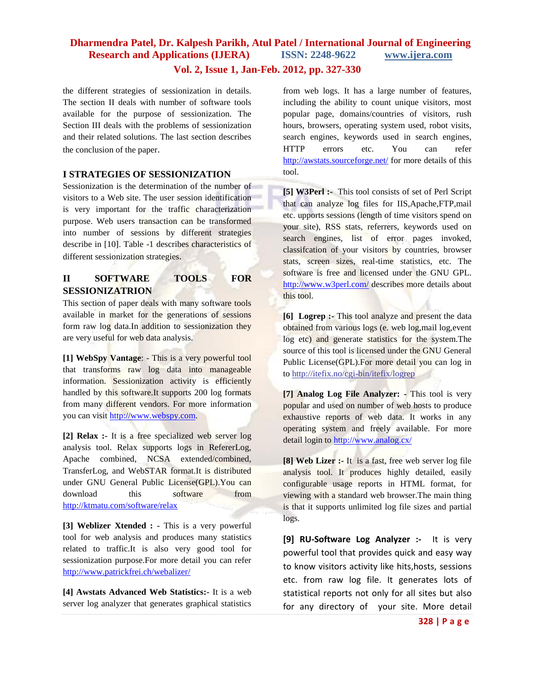## **Dharmendra Patel, Dr. Kalpesh Parikh, Atul Patel / International Journal of Engineering Research and Applications (IJERA) ISSN: 2248-9622 www.ijera.com**

**Vol. 2, Issue 1, Jan-Feb. 2012, pp. 327-330**

the different strategies of sessionization in details. The section II deals with number of software tools available for the purpose of sessionization. The Section III deals with the problems of sessionization and their related solutions. The last section describes the conclusion of the paper.

#### **I STRATEGIES OF SESSIONIZATION**

Sessionization is the determination of the number of visitors to a Web site. The user session identification is very important for the traffic characterization purpose. Web users transaction can be transformed into number of sessions by different strategies describe in [10]. Table -1 describes characteristics of different sessionization strategies.

#### **II SOFTWARE TOOLS FOR SESSIONIZATRION**

This section of paper deals with many software tools available in market for the generations of sessions form raw log data.In addition to sessionization they are very useful for web data analysis.

**[1] WebSpy Vantage**: - This is a very powerful tool that transforms raw log data into manageable information. Sessionization activity is efficiently handled by this software.It supports 200 log formats from many different vendors. For more information you can visit [http://www.webspy.com.](http://www.webspy.com/)

**[2] Relax :-** It is a free specialized web server log analysis tool. Relax supports logs in RefererLog, Apache combined, NCSA extended/combined, TransferLog, and WebSTAR format.It is distributed under GNU General Public License(GPL).You can download this software from <http://ktmatu.com/software/relax>

**[3] Weblizer Xtended : -** This is a very powerful tool for web analysis and produces many statistics related to traffic.It is also very good tool for sessionization purpose.For more detail you can refer <http://www.patrickfrei.ch/webalizer/>

**[4] Awstats Advanced Web Statistics:-** It is a web server log analyzer that generates graphical statistics

from web logs. It has a large number of features, including the ability to count unique visitors, most popular page, domains/countries of visitors, rush hours, browsers, operating system used, robot visits, search engines, keywords used in search engines, HTTP errors etc. You can refer <http://awstats.sourceforge.net/> for more details of this tool.

**[5] W3Perl :-** This tool consists of set of Perl Script that can analyze log files for IIS,Apache,FTP,mail etc. upports sessions (length of time visitors spend on your site), RSS stats, referrers, keywords used on search engines, list of error pages invoked, classifcation of your visitors by countries, browser stats, screen sizes, real-time statistics, etc. The software is free and licensed under the GNU GPL. <http://www.w3perl.com/> describes more details about this tool.

**[6] Logrep :-** This tool analyze and present the data obtained from various logs (e. web log,mail log,event log etc) and generate statistics for the system.The source of this tool is licensed under the GNU General Public License(GPL).For more detail you can log in to http://itefix.no/cgi-bin/itefix/logrep

**[7] Analog Log File Analyzer: -** This tool is very popular and used on number of web hosts to produce exhaustive reports of web data. It works in any operating system and freely available. For more detail login to<http://www.analog.cx/>

**[8] Web Lizer :-** It is a fast, free web server log file analysis tool. It produces highly detailed, easily configurable usage reports in HTML format, for viewing with a standard web browser.The main thing is that it supports unlimited log file sizes and partial logs.

**[9] RU-Software Log Analyzer :-** It is very powerful tool that provides quick and easy way to know visitors activity like hits,hosts, sessions etc. from raw log file. It generates lots of statistical reports not only for all sites but also for any directory of your site. More detail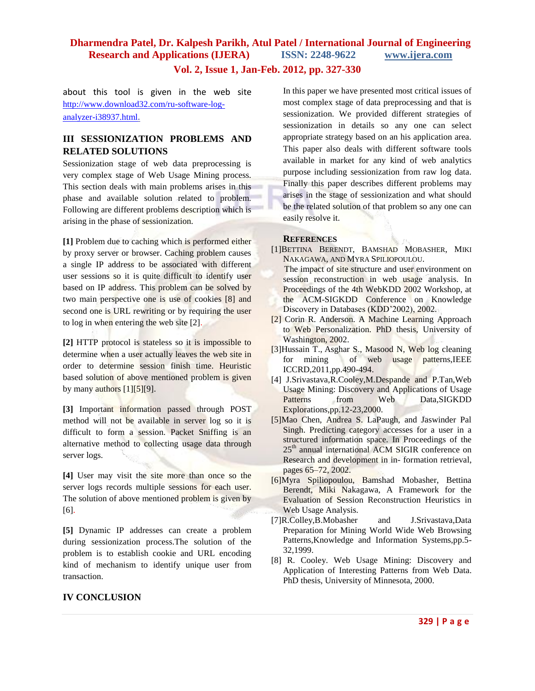### **Dharmendra Patel, Dr. Kalpesh Parikh, Atul Patel / International Journal of Engineering Research and Applications (IJERA) ISSN: 2248-9622 www.ijera.com**

**Vol. 2, Issue 1, Jan-Feb. 2012, pp. 327-330**

about this tool is given in the web site [http://www.download32.com/ru-software-log](http://www.download32.com/ru-software-log-analyzer-i38937.html)[analyzer-i38937.html](http://www.download32.com/ru-software-log-analyzer-i38937.html).

## **III SESSIONIZATION PROBLEMS AND RELATED SOLUTIONS**

Sessionization stage of web data preprocessing is very complex stage of Web Usage Mining process. This section deals with main problems arises in this phase and available solution related to problem. Following are different problems description which is arising in the phase of sessionization.

**[1]** Problem due to caching which is performed either by proxy server or browser. Caching problem causes a single IP address to be associated with different user sessions so it is quite difficult to identify user based on IP address. This problem can be solved by two main perspective one is use of cookies [8] and second one is URL rewriting or by requiring the user to log in when entering the web site [2].

**[2]** HTTP protocol is stateless so it is impossible to determine when a user actually leaves the web site in order to determine session finish time. Heuristic based solution of above mentioned problem is given by many authors  $[1][5][9]$ .

**[3]** Important information passed through POST method will not be available in server log so it is difficult to form a session. Packet Sniffing is an alternative method to collecting usage data through server logs.

**[4]** User may visit the site more than once so the server logs records multiple sessions for each user. The solution of above mentioned problem is given by [6].

**[5]** Dynamic IP addresses can create a problem during sessionization process.The solution of the problem is to establish cookie and URL encoding kind of mechanism to identify unique user from transaction.

#### **IV CONCLUSION**

In this paper we have presented most critical issues of most complex stage of data preprocessing and that is sessionization. We provided different strategies of sessionization in details so any one can select appropriate strategy based on an his application area. This paper also deals with different software tools available in market for any kind of web analytics purpose including sessionization from raw log data. Finally this paper describes different problems may arises in the stage of sessionization and what should be the related solution of that problem so any one can easily resolve it.

#### **REFERENCES**

- [1]BETTINA BERENDT, BAMSHAD MOBASHER, MIKI NAKAGAWA, AND MYRA SPILIOPOULOU. The impact of site structure and user environment on session reconstruction in web usage analysis. In Proceedings of the 4th WebKDD 2002 Workshop, at the ACM-SIGKDD Conference on Knowledge Discovery in Databases (KDD'2002), 2002.
- [2] Corin R. Anderson. A Machine Learning Approach to Web Personalization. PhD thesis, University of Washington, 2002.
- [3]Hussain T., Asghar S., Masood N, Web log cleaning for mining of web usage patterns,IEEE ICCRD,2011,pp.490-494.
- [4] J.Srivastava,R.Cooley,M.Despande and P.Tan,Web Usage Mining: Discovery and Applications of Usage Patterns from Web Data,SIGKDD Explorations,pp.12-23,2000.
- [5]Mao Chen, Andrea S. LaPaugh, and Jaswinder Pal Singh. Predicting category accesses for a user in a structured information space. In Proceedings of the 25<sup>th</sup> annual international ACM SIGIR conference on Research and development in in- formation retrieval, pages 65–72, 2002.
- [6]Myra Spiliopoulou, Bamshad Mobasher, Bettina Berendt, Miki Nakagawa, A Framework for the Evaluation of Session Reconstruction Heuristics in Web Usage Analysis.
- [7]R.Colley,B.Mobasher and J.Srivastava,Data Preparation for Mining World Wide Web Browsing Patterns,Knowledge and Information Systems,pp.5- 32,1999.
- [8] R. Cooley. Web Usage Mining: Discovery and Application of Interesting Patterns from Web Data. PhD thesis, University of Minnesota, 2000.